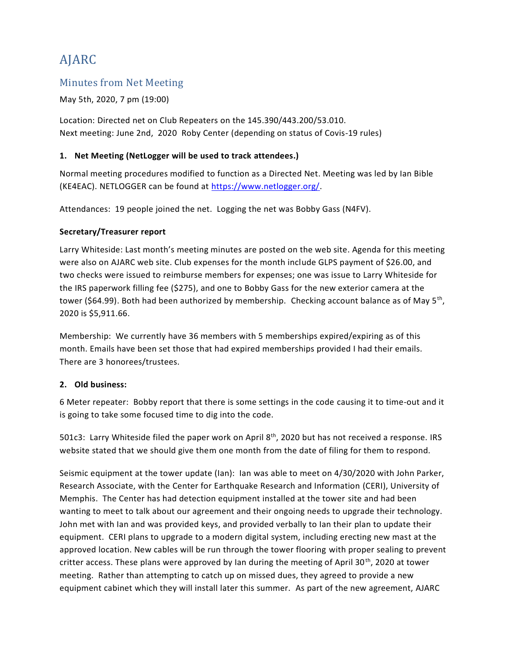# AJARC

### Minutes from Net Meeting

May 5th, 2020, 7 pm (19:00)

Location: Directed net on Club Repeaters on the 145.390/443.200/53.010. Next meeting: June 2nd, 2020 Roby Center (depending on status of Covis-19 rules)

### **1. Net Meeting (NetLogger will be used to track attendees.)**

Normal meeting procedures modified to function as a Directed Net. Meeting was led by Ian Bible (KE4EAC). NETLOGGER can be found at [https://www.netlogger.org/.](https://www.netlogger.org/)

Attendances: 19 people joined the net. Logging the net was Bobby Gass (N4FV).

### **Secretary/Treasurer report**

Larry Whiteside: Last month's meeting minutes are posted on the web site. Agenda for this meeting were also on AJARC web site. Club expenses for the month include GLPS payment of \$26.00, and two checks were issued to reimburse members for expenses; one was issue to Larry Whiteside for the IRS paperwork filling fee (\$275), and one to Bobby Gass for the new exterior camera at the tower (\$64.99). Both had been authorized by membership. Checking account balance as of May 5<sup>th</sup>, 2020 is \$5,911.66.

Membership: We currently have 36 members with 5 memberships expired/expiring as of this month. Emails have been set those that had expired memberships provided I had their emails. There are 3 honorees/trustees.

### **2. Old business:**

6 Meter repeater: Bobby report that there is some settings in the code causing it to time-out and it is going to take some focused time to dig into the code.

501c3: Larry Whiteside filed the paper work on April  $8<sup>th</sup>$ , 2020 but has not received a response. IRS website stated that we should give them one month from the date of filing for them to respond.

Seismic equipment at the tower update (Ian): Ian was able to meet on 4/30/2020 with John Parker, Research Associate, with the Center for Earthquake Research and Information (CERI), University of Memphis. The Center has had detection equipment installed at the tower site and had been wanting to meet to talk about our agreement and their ongoing needs to upgrade their technology. John met with Ian and was provided keys, and provided verbally to Ian their plan to update their equipment. CERI plans to upgrade to a modern digital system, including erecting new mast at the approved location. New cables will be run through the tower flooring with proper sealing to prevent critter access. These plans were approved by Ian during the meeting of April 30<sup>th</sup>, 2020 at tower meeting. Rather than attempting to catch up on missed dues, they agreed to provide a new equipment cabinet which they will install later this summer. As part of the new agreement, AJARC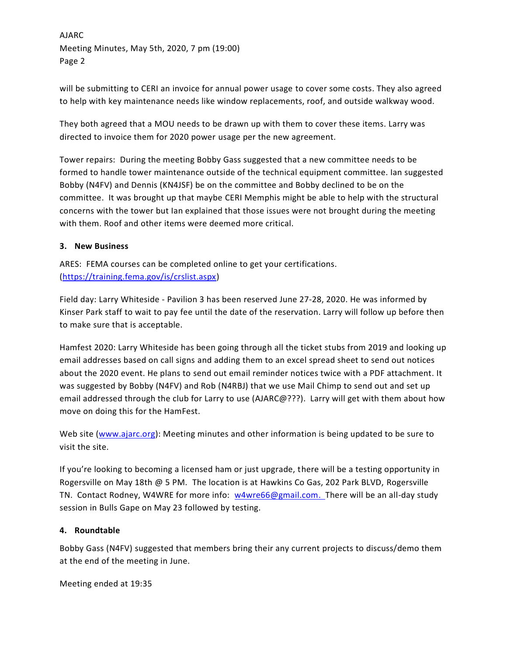AJARC Meeting Minutes, May 5th, 2020, 7 pm (19:00) Page 2

will be submitting to CERI an invoice for annual power usage to cover some costs. They also agreed to help with key maintenance needs like window replacements, roof, and outside walkway wood.

They both agreed that a MOU needs to be drawn up with them to cover these items. Larry was directed to invoice them for 2020 power usage per the new agreement.

Tower repairs: During the meeting Bobby Gass suggested that a new committee needs to be formed to handle tower maintenance outside of the technical equipment committee. Ian suggested Bobby (N4FV) and Dennis (KN4JSF) be on the committee and Bobby declined to be on the committee. It was brought up that maybe CERI Memphis might be able to help with the structural concerns with the tower but Ian explained that those issues were not brought during the meeting with them. Roof and other items were deemed more critical.

### **3. New Business**

ARES: FEMA courses can be completed online to get your certifications. [\(https://training.fema.gov/is/crslist.aspx\)](https://training.fema.gov/is/crslist.aspx)

Field day: Larry Whiteside - Pavilion 3 has been reserved June 27-28, 2020. He was informed by Kinser Park staff to wait to pay fee until the date of the reservation. Larry will follow up before then to make sure that is acceptable.

Hamfest 2020: Larry Whiteside has been going through all the ticket stubs from 2019 and looking up email addresses based on call signs and adding them to an excel spread sheet to send out notices about the 2020 event. He plans to send out email reminder notices twice with a PDF attachment. It was suggested by Bobby (N4FV) and Rob (N4RBJ) that we use Mail Chimp to send out and set up email addressed through the club for Larry to use (AJARC@???). Larry will get with them about how move on doing this for the HamFest.

Web site [\(www.ajarc.org\)](file:///C:/Users/Whiteside/Documents/AJARC/final%20meeting%20minutes/www.ajarc.org): Meeting minutes and other information is being updated to be sure to visit the site.

If you're looking to becoming a licensed ham or just upgrade, there will be a testing opportunity in Rogersville on May 18th @ 5 PM. The location is at Hawkins Co Gas, 202 Park BLVD, Rogersville TN. Contact Rodney, W4WRE for more info: [w4wre66@gmail.com.](mailto:w4wre66@gmail.com) There will be an all-day study session in Bulls Gape on May 23 followed by testing.

#### **4. Roundtable**

Bobby Gass (N4FV) suggested that members bring their any current projects to discuss/demo them at the end of the meeting in June.

Meeting ended at 19:35